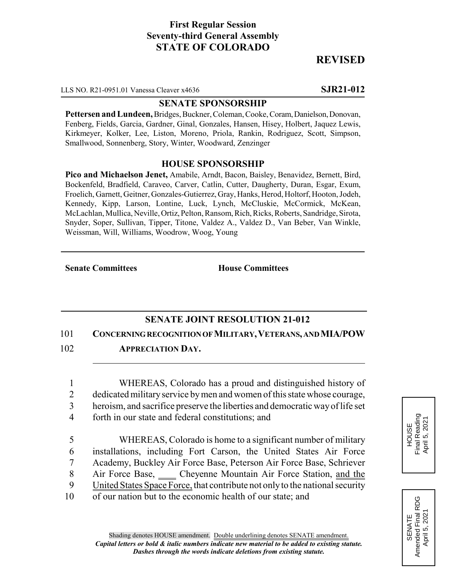# **First Regular Session Seventy-third General Assembly STATE OF COLORADO**

# **REVISED**

LLS NO. R21-0951.01 Vanessa Cleaver x4636 **SJR21-012**

### **SENATE SPONSORSHIP**

**Pettersen and Lundeen,** Bridges, Buckner, Coleman, Cooke, Coram, Danielson, Donovan, Fenberg, Fields, Garcia, Gardner, Ginal, Gonzales, Hansen, Hisey, Holbert, Jaquez Lewis, Kirkmeyer, Kolker, Lee, Liston, Moreno, Priola, Rankin, Rodriguez, Scott, Simpson, Smallwood, Sonnenberg, Story, Winter, Woodward, Zenzinger

### **HOUSE SPONSORSHIP**

**Pico and Michaelson Jenet,** Amabile, Arndt, Bacon, Baisley, Benavidez, Bernett, Bird, Bockenfeld, Bradfield, Caraveo, Carver, Catlin, Cutter, Daugherty, Duran, Esgar, Exum, Froelich, Garnett, Geitner, Gonzales-Gutierrez, Gray, Hanks, Herod, Holtorf, Hooton, Jodeh, Kennedy, Kipp, Larson, Lontine, Luck, Lynch, McCluskie, McCormick, McKean, McLachlan, Mullica, Neville, Ortiz, Pelton, Ransom, Rich, Ricks, Roberts, Sandridge, Sirota, Snyder, Soper, Sullivan, Tipper, Titone, Valdez A., Valdez D., Van Beber, Van Winkle, Weissman, Will, Williams, Woodrow, Woog, Young

**Senate Committees House Committees** 

## **SENATE JOINT RESOLUTION 21-012**

101 **CONCERNING RECOGNITION OF MILITARY,VETERANS, AND MIA/POW**

102 **APPRECIATION DAY.**

1 WHEREAS, Colorado has a proud and distinguished history of 2 dedicated military service by men and women of this state whose courage,

- 3 heroism, and sacrifice preserve the liberties and democratic way of life set
- 4 forth in our state and federal constitutions; and
- 5 WHEREAS, Colorado is home to a significant number of military 6 installations, including Fort Carson, the United States Air Force 7 Academy, Buckley Air Force Base, Peterson Air Force Base, Schriever 8 Air Force Base, Cheyenne Mountain Air Force Station, and the 9 United States Space Force, that contribute not only to the national security 10 of our nation but to the economic health of our state; and



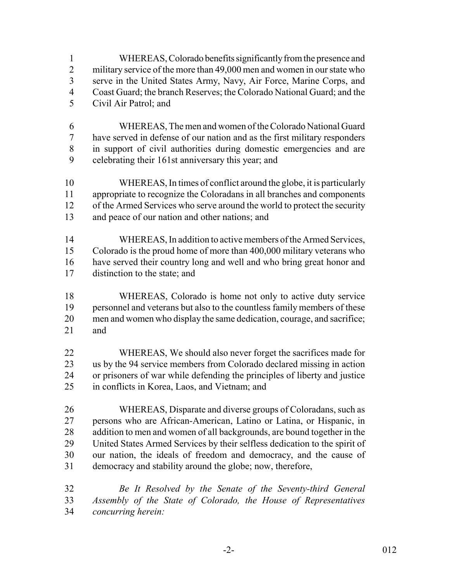WHEREAS, Colorado benefits significantly from the presence and 2 military service of the more than 49,000 men and women in our state who serve in the United States Army, Navy, Air Force, Marine Corps, and Coast Guard; the branch Reserves; the Colorado National Guard; and the

- Civil Air Patrol; and
- WHEREAS, The men and women of the Colorado National Guard have served in defense of our nation and as the first military responders in support of civil authorities during domestic emergencies and are celebrating their 161st anniversary this year; and
- WHEREAS, In times of conflict around the globe, it is particularly appropriate to recognize the Coloradans in all branches and components 12 of the Armed Services who serve around the world to protect the security and peace of our nation and other nations; and
- WHEREAS, In addition to active members of the Armed Services, Colorado is the proud home of more than 400,000 military veterans who have served their country long and well and who bring great honor and distinction to the state; and
- WHEREAS, Colorado is home not only to active duty service personnel and veterans but also to the countless family members of these men and women who display the same dedication, courage, and sacrifice; and
- WHEREAS, We should also never forget the sacrifices made for us by the 94 service members from Colorado declared missing in action or prisoners of war while defending the principles of liberty and justice in conflicts in Korea, Laos, and Vietnam; and
- WHEREAS, Disparate and diverse groups of Coloradans, such as persons who are African-American, Latino or Latina, or Hispanic, in 28 addition to men and women of all backgrounds, are bound together in the United States Armed Services by their selfless dedication to the spirit of our nation, the ideals of freedom and democracy, and the cause of democracy and stability around the globe; now, therefore,
- *Be It Resolved by the Senate of the Seventy-third General Assembly of the State of Colorado, the House of Representatives concurring herein:*